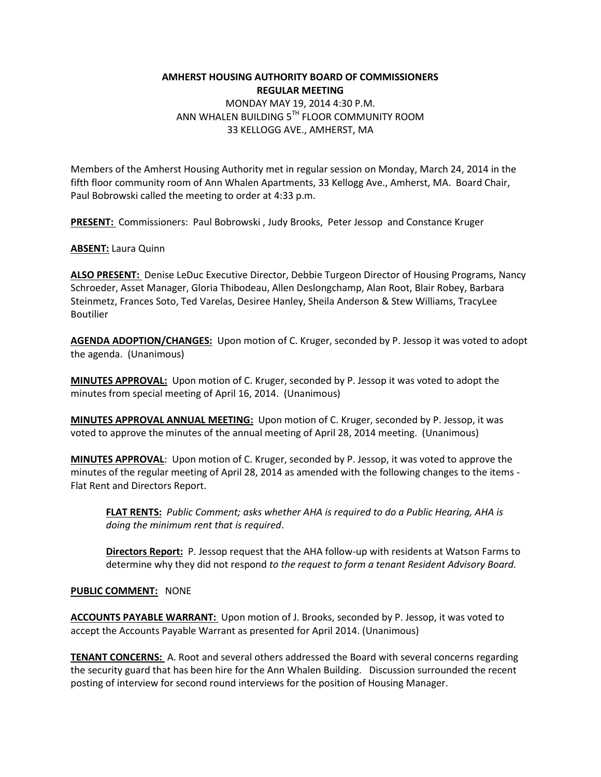## **AMHERST HOUSING AUTHORITY BOARD OF COMMISSIONERS REGULAR MEETING**  MONDAY MAY 19, 2014 4:30 P.M. ANN WHALEN BUILDING 5TH FLOOR COMMUNITY ROOM 33 KELLOGG AVE., AMHERST, MA

Members of the Amherst Housing Authority met in regular session on Monday, March 24, 2014 in the fifth floor community room of Ann Whalen Apartments, 33 Kellogg Ave., Amherst, MA. Board Chair, Paul Bobrowski called the meeting to order at 4:33 p.m.

**PRESENT:** Commissioners: Paul Bobrowski , Judy Brooks, Peter Jessop and Constance Kruger

**ABSENT:** Laura Quinn

**ALSO PRESENT:** Denise LeDuc Executive Director, Debbie Turgeon Director of Housing Programs, Nancy Schroeder, Asset Manager, Gloria Thibodeau, Allen Deslongchamp, Alan Root, Blair Robey, Barbara Steinmetz, Frances Soto, Ted Varelas, Desiree Hanley, Sheila Anderson & Stew Williams, TracyLee Boutilier

**AGENDA ADOPTION/CHANGES:** Upon motion of C. Kruger, seconded by P. Jessop it was voted to adopt the agenda. (Unanimous)

**MINUTES APPROVAL:** Upon motion of C. Kruger, seconded by P. Jessop it was voted to adopt the minutes from special meeting of April 16, 2014. (Unanimous)

**MINUTES APPROVAL ANNUAL MEETING:** Upon motion of C. Kruger, seconded by P. Jessop, it was voted to approve the minutes of the annual meeting of April 28, 2014 meeting. (Unanimous)

**MINUTES APPROVAL**: Upon motion of C. Kruger, seconded by P. Jessop, it was voted to approve the minutes of the regular meeting of April 28, 2014 as amended with the following changes to the items - Flat Rent and Directors Report.

**FLAT RENTS:** *Public Comment; asks whether AHA is required to do a Public Hearing, AHA is doing the minimum rent that is required*.

**Directors Report:** P. Jessop request that the AHA follow-up with residents at Watson Farms to determine why they did not respond *to the request to form a tenant Resident Advisory Board.*

## **PUBLIC COMMENT:** NONE

**ACCOUNTS PAYABLE WARRANT:** Upon motion of J. Brooks, seconded by P. Jessop, it was voted to accept the Accounts Payable Warrant as presented for April 2014. (Unanimous)

**TENANT CONCERNS:** A. Root and several others addressed the Board with several concerns regarding the security guard that has been hire for the Ann Whalen Building. Discussion surrounded the recent posting of interview for second round interviews for the position of Housing Manager.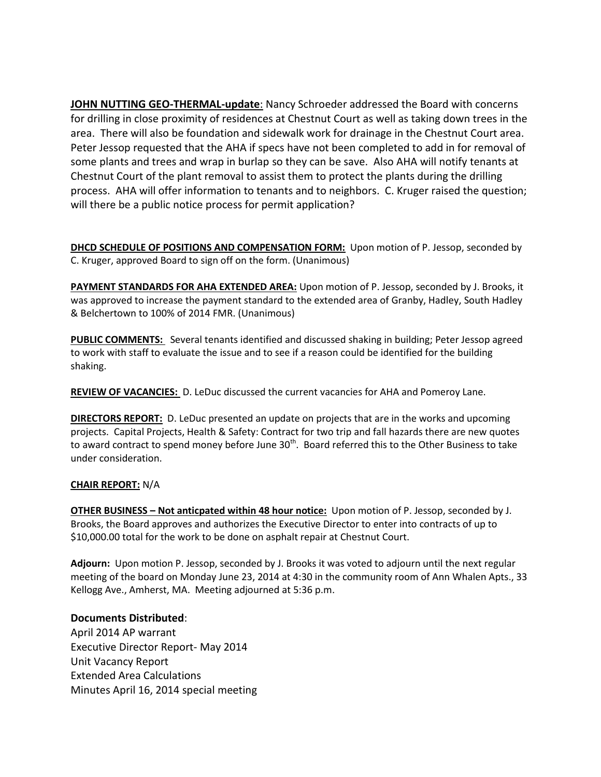**JOHN NUTTING GEO-THERMAL-update**: Nancy Schroeder addressed the Board with concerns for drilling in close proximity of residences at Chestnut Court as well as taking down trees in the area. There will also be foundation and sidewalk work for drainage in the Chestnut Court area. Peter Jessop requested that the AHA if specs have not been completed to add in for removal of some plants and trees and wrap in burlap so they can be save. Also AHA will notify tenants at Chestnut Court of the plant removal to assist them to protect the plants during the drilling process. AHA will offer information to tenants and to neighbors. C. Kruger raised the question; will there be a public notice process for permit application?

**DHCD SCHEDULE OF POSITIONS AND COMPENSATION FORM:** Upon motion of P. Jessop, seconded by C. Kruger, approved Board to sign off on the form. (Unanimous)

**PAYMENT STANDARDS FOR AHA EXTENDED AREA:** Upon motion of P. Jessop, seconded by J. Brooks, it was approved to increase the payment standard to the extended area of Granby, Hadley, South Hadley & Belchertown to 100% of 2014 FMR. (Unanimous)

**PUBLIC COMMENTS:** Several tenants identified and discussed shaking in building; Peter Jessop agreed to work with staff to evaluate the issue and to see if a reason could be identified for the building shaking.

**REVIEW OF VACANCIES:** D. LeDuc discussed the current vacancies for AHA and Pomeroy Lane.

**DIRECTORS REPORT:** D. LeDuc presented an update on projects that are in the works and upcoming projects. Capital Projects, Health & Safety: Contract for two trip and fall hazards there are new quotes to award contract to spend money before June 30<sup>th</sup>. Board referred this to the Other Business to take under consideration.

## **CHAIR REPORT:** N/A

**OTHER BUSINESS – Not anticpated within 48 hour notice:** Upon motion of P. Jessop, seconded by J. Brooks, the Board approves and authorizes the Executive Director to enter into contracts of up to \$10,000.00 total for the work to be done on asphalt repair at Chestnut Court.

**Adjourn:** Upon motion P. Jessop, seconded by J. Brooks it was voted to adjourn until the next regular meeting of the board on Monday June 23, 2014 at 4:30 in the community room of Ann Whalen Apts., 33 Kellogg Ave., Amherst, MA. Meeting adjourned at 5:36 p.m.

## **Documents Distributed**:

April 2014 AP warrant Executive Director Report- May 2014 Unit Vacancy Report Extended Area Calculations Minutes April 16, 2014 special meeting